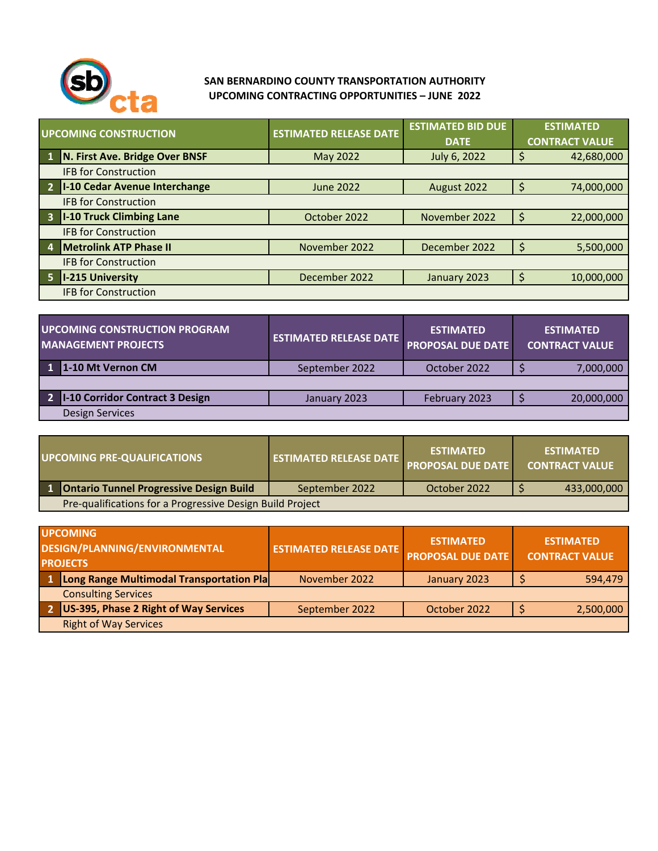

## **SAN BERNARDINO COUNTY TRANSPORTATION AUTHORITY UPCOMING CONTRACTING OPPORTUNITIES – JUNE 2022**

| UPCOMING CONSTRUCTION                  | <b>ESTIMATED RELEASE DATE</b> | <b>ESTIMATED BID DUE</b><br><b>DATE</b> | <b>ESTIMATED</b><br><b>CONTRACT VALUE</b> |  |  |
|----------------------------------------|-------------------------------|-----------------------------------------|-------------------------------------------|--|--|
| N. First Ave. Bridge Over BNSF         | May 2022                      | July 6, 2022                            | 42,680,000                                |  |  |
| <b>IFB for Construction</b>            |                               |                                         |                                           |  |  |
| I-10 Cedar Avenue Interchange          | June 2022                     | August 2022                             | 74,000,000                                |  |  |
| <b>IFB for Construction</b>            |                               |                                         |                                           |  |  |
| <b>I-10 Truck Climbing Lane</b><br>- 3 | October 2022                  | November 2022                           | 22,000,000                                |  |  |
| <b>IFB for Construction</b>            |                               |                                         |                                           |  |  |
| <b>Metrolink ATP Phase II</b>          | November 2022                 | December 2022                           | 5,500,000                                 |  |  |
| <b>IFB for Construction</b>            |                               |                                         |                                           |  |  |
| <b>I-215 University</b>                | December 2022                 | January 2023                            | 10,000,000                                |  |  |
| <b>IFB for Construction</b>            |                               |                                         |                                           |  |  |

| UPCOMING CONSTRUCTION PROGRAM<br><b>MANAGEMENT PROJECTS</b> | <b>ESTIMATED RELEASE DATE</b> | <b>ESTIMATED</b><br><b>PROPOSAL DUE DATE</b> | <b>ESTIMATED</b><br><b>CONTRACT VALUE</b> |
|-------------------------------------------------------------|-------------------------------|----------------------------------------------|-------------------------------------------|
| 1-10 Mt Vernon CM                                           | September 2022                | October 2022                                 | 7,000,000                                 |
|                                                             |                               |                                              |                                           |
| I-10 Corridor Contract 3 Design                             | January 2023                  | February 2023                                | 20,000,000                                |
| Design Services                                             |                               |                                              |                                           |

|                                                           | UPCOMING PRE-QUALIFICATIONS               | <b>ESTIMATED RELEASE DATE</b> | <b>ESTIMATED</b><br><b>PROPOSAL DUE DATE</b> |  | <b>ESTIMATED</b><br><b>CONTRACT VALUE</b> |
|-----------------------------------------------------------|-------------------------------------------|-------------------------------|----------------------------------------------|--|-------------------------------------------|
|                                                           | 1 Ontario Tunnel Progressive Design Build | September 2022                | October 2022                                 |  | 433,000,000                               |
| Pre-qualifications for a Progressive Design Build Project |                                           |                               |                                              |  |                                           |

| <b>UPCOMING</b><br>DESIGN/PLANNING/ENVIRONMENTAL<br><b>PROJECTS</b> |                                          | <b>ESTIMATED RELEASE DATE</b> | <b>ESTIMATED</b><br><b>PROPOSAL DUE DATE</b> | <b>ESTIMATED</b><br><b>CONTRACT VALUE</b> |
|---------------------------------------------------------------------|------------------------------------------|-------------------------------|----------------------------------------------|-------------------------------------------|
|                                                                     | Long Range Multimodal Transportation Pla | November 2022                 | January 2023                                 | 594,479                                   |
|                                                                     | <b>Consulting Services</b>               |                               |                                              |                                           |
|                                                                     | US-395, Phase 2 Right of Way Services    | September 2022                | October 2022                                 | 2,500,000                                 |
|                                                                     | <b>Right of Way Services</b>             |                               |                                              |                                           |